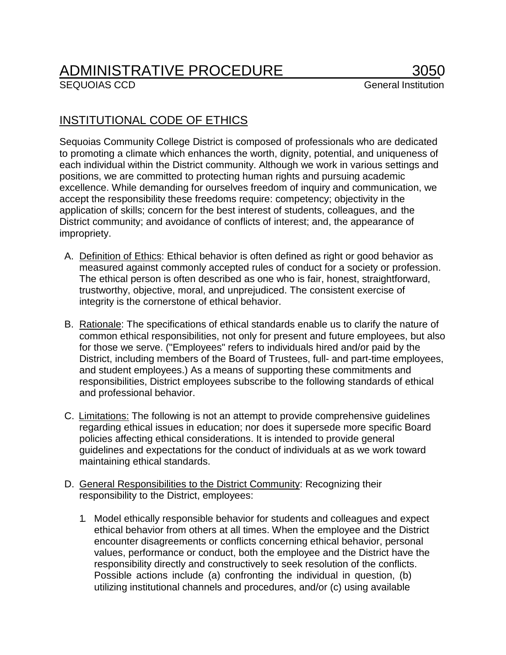## ADMINISTRATIVE PROCEDURE 3050

## INSTITUTIONAL CODE OF ETHICS

Sequoias Community College District is composed of professionals who are dedicated to promoting a climate which enhances the worth, dignity, potential, and uniqueness of each individual within the District community. Although we work in various settings and positions, we are committed to protecting human rights and pursuing academic excellence. While demanding for ourselves freedom of inquiry and communication, we accept the responsibility these freedoms require: competency; objectivity in the application of skills; concern for the best interest of students, colleagues, and the District community; and avoidance of conflicts of interest; and, the appearance of impropriety.

- A. Definition of Ethics: Ethical behavior is often defined as right or good behavior as measured against commonly accepted rules of conduct for a society or profession. The ethical person is often described as one who is fair, honest, straightforward, trustworthy, objective, moral, and unprejudiced. The consistent exercise of integrity is the cornerstone of ethical behavior.
- B. Rationale: The specifications of ethical standards enable us to clarify the nature of common ethical responsibilities, not only for present and future employees, but also for those we serve. ("Employees" refers to individuals hired and/or paid by the District, including members of the Board of Trustees, full- and part-time employees, and student employees.) As a means of supporting these commitments and responsibilities, District employees subscribe to the following standards of ethical and professional behavior.
- C. Limitations: The following is not an attempt to provide comprehensive guidelines regarding ethical issues in education; nor does it supersede more specific Board policies affecting ethical considerations. It is intended to provide general guidelines and expectations for the conduct of individuals at as we work toward maintaining ethical standards.
- D. General Responsibilities to the District Community: Recognizing their responsibility to the District, employees:
	- 1. Model ethically responsible behavior for students and colleagues and expect ethical behavior from others at all times. When the employee and the District encounter disagreements or conflicts concerning ethical behavior, personal values, performance or conduct, both the employee and the District have the responsibility directly and constructively to seek resolution of the conflicts. Possible actions include (a) confronting the individual in question, (b) utilizing institutional channels and procedures, and/or (c) using available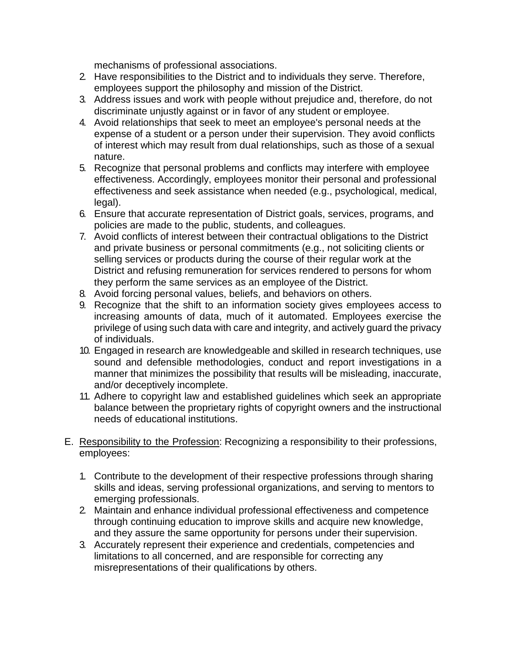mechanisms of professional associations.

- 2. Have responsibilities to the District and to individuals they serve. Therefore, employees support the philosophy and mission of the District.
- 3. Address issues and work with people without prejudice and, therefore, do not discriminate unjustly against or in favor of any student or employee.
- 4. Avoid relationships that seek to meet an employee's personal needs at the expense of a student or a person under their supervision. They avoid conflicts of interest which may result from dual relationships, such as those of a sexual nature.
- 5. Recognize that personal problems and conflicts may interfere with employee effectiveness. Accordingly, employees monitor their personal and professional effectiveness and seek assistance when needed (e.g., psychological, medical, legal).
- 6. Ensure that accurate representation of District goals, services, programs, and policies are made to the public, students, and colleagues.
- 7. Avoid conflicts of interest between their contractual obligations to the District and private business or personal commitments (e.g., not soliciting clients or selling services or products during the course of their regular work at the District and refusing remuneration for services rendered to persons for whom they perform the same services as an employee of the District.
- 8. Avoid forcing personal values, beliefs, and behaviors on others.
- 9. Recognize that the shift to an information society gives employees access to increasing amounts of data, much of it automated. Employees exercise the privilege of using such data with care and integrity, and actively guard the privacy of individuals.
- 10. Engaged in research are knowledgeable and skilled in research techniques, use sound and defensible methodologies, conduct and report investigations in a manner that minimizes the possibility that results will be misleading, inaccurate, and/or deceptively incomplete.
- 11. Adhere to copyright law and established guidelines which seek an appropriate balance between the proprietary rights of copyright owners and the instructional needs of educational institutions.
- E. Responsibility to the Profession: Recognizing a responsibility to their professions, employees:
	- 1. Contribute to the development of their respective professions through sharing skills and ideas, serving professional organizations, and serving to mentors to emerging professionals.
	- 2. Maintain and enhance individual professional effectiveness and competence through continuing education to improve skills and acquire new knowledge, and they assure the same opportunity for persons under their supervision.
	- 3. Accurately represent their experience and credentials, competencies and limitations to all concerned, and are responsible for correcting any misrepresentations of their qualifications by others.